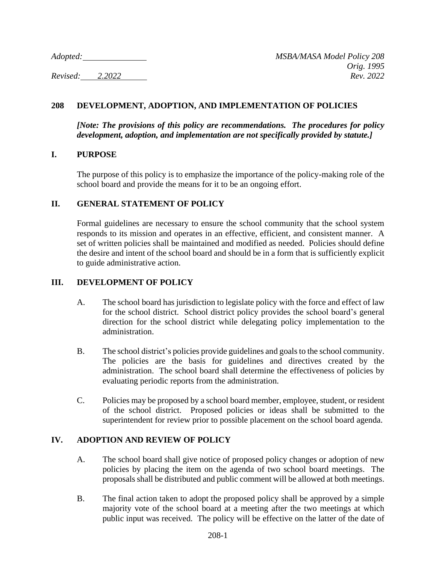# **208 DEVELOPMENT, ADOPTION, AND IMPLEMENTATION OF POLICIES**

*[Note: The provisions of this policy are recommendations. The procedures for policy development, adoption, and implementation are not specifically provided by statute.]*

### **I. PURPOSE**

The purpose of this policy is to emphasize the importance of the policy-making role of the school board and provide the means for it to be an ongoing effort.

### **II. GENERAL STATEMENT OF POLICY**

Formal guidelines are necessary to ensure the school community that the school system responds to its mission and operates in an effective, efficient, and consistent manner. A set of written policies shall be maintained and modified as needed. Policies should define the desire and intent of the school board and should be in a form that is sufficiently explicit to guide administrative action.

## **III. DEVELOPMENT OF POLICY**

- A. The school board has jurisdiction to legislate policy with the force and effect of law for the school district. School district policy provides the school board's general direction for the school district while delegating policy implementation to the administration.
- B. The school district's policies provide guidelines and goals to the school community. The policies are the basis for guidelines and directives created by the administration. The school board shall determine the effectiveness of policies by evaluating periodic reports from the administration.
- C. Policies may be proposed by a school board member, employee, student, or resident of the school district. Proposed policies or ideas shall be submitted to the superintendent for review prior to possible placement on the school board agenda.

#### **IV. ADOPTION AND REVIEW OF POLICY**

- A. The school board shall give notice of proposed policy changes or adoption of new policies by placing the item on the agenda of two school board meetings. The proposals shall be distributed and public comment will be allowed at both meetings.
- B. The final action taken to adopt the proposed policy shall be approved by a simple majority vote of the school board at a meeting after the two meetings at which public input was received. The policy will be effective on the latter of the date of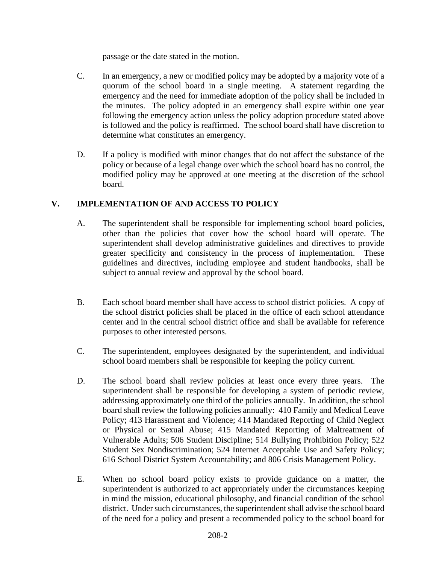passage or the date stated in the motion.

- C. In an emergency, a new or modified policy may be adopted by a majority vote of a quorum of the school board in a single meeting. A statement regarding the emergency and the need for immediate adoption of the policy shall be included in the minutes. The policy adopted in an emergency shall expire within one year following the emergency action unless the policy adoption procedure stated above is followed and the policy is reaffirmed. The school board shall have discretion to determine what constitutes an emergency.
- D. If a policy is modified with minor changes that do not affect the substance of the policy or because of a legal change over which the school board has no control, the modified policy may be approved at one meeting at the discretion of the school board.

# **V. IMPLEMENTATION OF AND ACCESS TO POLICY**

- A. The superintendent shall be responsible for implementing school board policies, other than the policies that cover how the school board will operate. The superintendent shall develop administrative guidelines and directives to provide greater specificity and consistency in the process of implementation. These guidelines and directives, including employee and student handbooks, shall be subject to annual review and approval by the school board.
- B. Each school board member shall have access to school district policies. A copy of the school district policies shall be placed in the office of each school attendance center and in the central school district office and shall be available for reference purposes to other interested persons.
- C. The superintendent, employees designated by the superintendent, and individual school board members shall be responsible for keeping the policy current.
- D. The school board shall review policies at least once every three years. The superintendent shall be responsible for developing a system of periodic review, addressing approximately one third of the policies annually. In addition, the school board shall review the following policies annually: 410 Family and Medical Leave Policy; 413 Harassment and Violence; 414 Mandated Reporting of Child Neglect or Physical or Sexual Abuse; 415 Mandated Reporting of Maltreatment of Vulnerable Adults; 506 Student Discipline; 514 Bullying Prohibition Policy; 522 Student Sex Nondiscrimination; 524 Internet Acceptable Use and Safety Policy; 616 School District System Accountability; and 806 Crisis Management Policy.
- E. When no school board policy exists to provide guidance on a matter, the superintendent is authorized to act appropriately under the circumstances keeping in mind the mission, educational philosophy, and financial condition of the school district. Under such circumstances, the superintendent shall advise the school board of the need for a policy and present a recommended policy to the school board for